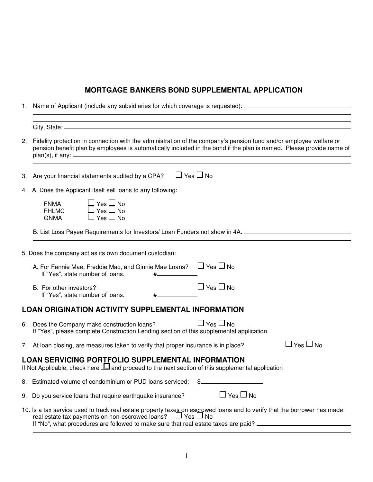# **MORTGAGE BANKERS BOND SUPPLEMENTAL APPLICATION**

1. Name of Applicant (include any subsidiaries for which coverage is requested):

L

L

| 2.                                                           | Fidelity protection in connection with the administration of the company's pension fund and/or employee welfare or<br>pension benefit plan by employees is automatically included in the bond if the plan is named. Please provide name of |  |  |
|--------------------------------------------------------------|--------------------------------------------------------------------------------------------------------------------------------------------------------------------------------------------------------------------------------------------|--|--|
| 3.                                                           | $\Box$ Yes $\Box$ No<br>Are your financial statements audited by a CPA?                                                                                                                                                                    |  |  |
| 4. A. Does the Applicant itself sell loans to any following: |                                                                                                                                                                                                                                            |  |  |
|                                                              | Yes $\Box$ No<br><b>FNMA</b><br><b>FHLMC</b><br>Yes $\sqcup$ No<br>Yes $\Box$ No<br><b>GNMA</b>                                                                                                                                            |  |  |
|                                                              | B. List Loss Payee Requirements for Investors/ Loan Funders not show in 4A. _______________________                                                                                                                                        |  |  |
|                                                              | 5. Does the company act as its own document custodian:                                                                                                                                                                                     |  |  |
|                                                              | A. For Fannie Mae, Freddie Mac, and Ginnie Mae Loans? $\Box$ Yes $\Box$ No<br>If "Yes", state number of loans.<br>#_                                                                                                                       |  |  |
|                                                              | $\Box$ Yes $\Box$ No<br>B. For other investors?<br>If "Yes", state number of loans.                                                                                                                                                        |  |  |
|                                                              | <b>LOAN ORIGINATION ACTIVITY SUPPLEMENTAL INFORMATION</b>                                                                                                                                                                                  |  |  |
|                                                              | $\Box$ Yes $\Box$ No<br>6. Does the Company make construction loans?<br>If "Yes", please complete Construction Lending section of this supplemental application.                                                                           |  |  |
|                                                              | $\Box$ Yes $\Box$ No<br>7. At loan closing, are measures taken to verify that proper insurance is in place?                                                                                                                                |  |  |
|                                                              | <b>LOAN SERVICING PORTFOLIO SUPPLEMENTAL INFORMATION</b><br>If Not Applicable, check here $\Box$ and proceed to the next section of this supplemental application                                                                          |  |  |
|                                                              | 8. Estimated volume of condominium or PUD loans serviced:                                                                                                                                                                                  |  |  |
|                                                              | $\Box$ Yes $\Box$ No<br>9. Do you service loans that require earthquake insurance?                                                                                                                                                         |  |  |
|                                                              | 10. Is a tax service used to track real estate property taxes on escrowed loans and to verify that the borrower has made<br>real estate tax payments on non-escrowed loans? $\Box$ Yes $\Box$ No                                           |  |  |

1

If "No", what procedures are followed to make sure that real estate taxes are paid?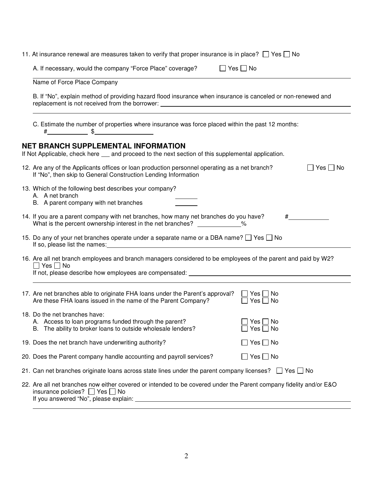| 11. At insurance renewal are measures taken to verify that proper insurance is in place? $\Box$ Yes $\Box$ No                                                                                                                                                                                                                      |  |  |  |  |
|------------------------------------------------------------------------------------------------------------------------------------------------------------------------------------------------------------------------------------------------------------------------------------------------------------------------------------|--|--|--|--|
| A. If necessary, would the company "Force Place" coverage?<br>$\Box$ Yes $\Box$ No                                                                                                                                                                                                                                                 |  |  |  |  |
| Name of Force Place Company                                                                                                                                                                                                                                                                                                        |  |  |  |  |
| B. If "No", explain method of providing hazard flood insurance when insurance is canceled or non-renewed and<br>replacement is not received from the borrower: __________________________________                                                                                                                                  |  |  |  |  |
| C. Estimate the number of properties where insurance was force placed within the past 12 months:<br>$\#$ $\qquad \qquad$ \$                                                                                                                                                                                                        |  |  |  |  |
| <b>NET BRANCH SUPPLEMENTAL INFORMATION</b><br>If Not Applicable, check here __ and proceed to the next section of this supplemental application.                                                                                                                                                                                   |  |  |  |  |
| 12. Are any of the Applicants offices or loan production personnel operating as a net branch?<br>$\Box$ Yes $\Box$ No<br>If "No", then skip to General Construction Lending Information                                                                                                                                            |  |  |  |  |
| 13. Which of the following best describes your company?<br>A. A net branch<br>B. A parent company with net branches                                                                                                                                                                                                                |  |  |  |  |
| 14. If you are a parent company with net branches, how many net branches do you have?<br>$\#$ and $\#$<br>What is the percent ownership interest in the net branches? _____________%                                                                                                                                               |  |  |  |  |
| 15. Do any of your net branches operate under a separate name or a DBA name? $\Box$ Yes $\Box$ No<br>If so, please list the names: example and the set of the set of the set of the set of the set of the set of the set of the set of the set of the set of the set of the set of the set of the set of the set of the set of the |  |  |  |  |
| 16. Are all net branch employees and branch managers considered to be employees of the parent and paid by W2?<br>$\Box$ Yes $\Box$ No<br>and the control of the control of the control of the control of the control of the control of the control of the                                                                          |  |  |  |  |
| 17. Are net branches able to originate FHA loans under the Parent's approval?<br>$\Box$ Yes $\Box$ No<br>Are these FHA loans issued in the name of the Parent Company?<br>Yes $\Box$ No                                                                                                                                            |  |  |  |  |
| 18. Do the net branches have:<br>$\Box$ Yes $\Box$ No<br>A. Access to loan programs funded through the parent?<br>B. The ability to broker loans to outside wholesale lenders?<br>Yes $\Box$ No                                                                                                                                    |  |  |  |  |
| $\square$ Yes $\square$ No<br>19. Does the net branch have underwriting authority?                                                                                                                                                                                                                                                 |  |  |  |  |
| $\square$ Yes $\square$ No<br>20. Does the Parent company handle accounting and payroll services?                                                                                                                                                                                                                                  |  |  |  |  |
| 21. Can net branches originate loans across state lines under the parent company licenses? $\Box$ Yes $\Box$ No                                                                                                                                                                                                                    |  |  |  |  |
| 22. Are all net branches now either covered or intended to be covered under the Parent company fidelity and/or E&O<br>insurance policies? $\Box$ Yes $\Box$ No<br>If you answered "No", please explain:                                                                                                                            |  |  |  |  |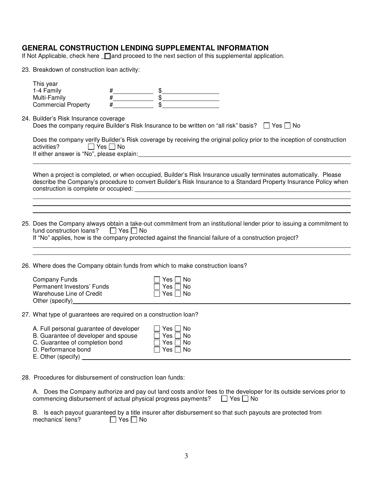### **GENERAL CONSTRUCTION LENDING SUPPLEMENTAL INFORMATION**

If Not Applicable, check here **I** and proceed to the next section of this supplemental application.

23. Breakdown of construction loan activity:

|                                                                                                                                                    | This year<br>1-4 Family<br>Multi-Family<br><b>Commercial Property</b>                                                                                                                                                                                                             |  |  |  |  |  |  |
|----------------------------------------------------------------------------------------------------------------------------------------------------|-----------------------------------------------------------------------------------------------------------------------------------------------------------------------------------------------------------------------------------------------------------------------------------|--|--|--|--|--|--|
| 24. Builder's Risk Insurance coverage<br>Does the company require Builder's Risk Insurance to be written on "all risk" basis? $\Box$ Yes $\Box$ No |                                                                                                                                                                                                                                                                                   |  |  |  |  |  |  |
|                                                                                                                                                    | Does the company verify Builder's Risk coverage by receiving the original policy prior to the inception of construction<br>activities? □ Yes □ No<br>If either answer is "No", please explain: example and a set of the set of the set of the set of the set of the               |  |  |  |  |  |  |
|                                                                                                                                                    | When a project is completed, or when occupied, Builder's Risk Insurance usually terminates automatically. Please<br>describe the Company's procedure to convert Builder's Risk Insurance to a Standard Property Insurance Policy when                                             |  |  |  |  |  |  |
|                                                                                                                                                    |                                                                                                                                                                                                                                                                                   |  |  |  |  |  |  |
|                                                                                                                                                    | 25. Does the Company always obtain a take-out commitment from an institutional lender prior to issuing a commitment to<br>fund construction loans? $\Box$ Yes $\Box$ No<br>If "No" applies, how is the company protected against the financial failure of a construction project? |  |  |  |  |  |  |
| 26. Where does the Company obtain funds from which to make construction loans?                                                                     |                                                                                                                                                                                                                                                                                   |  |  |  |  |  |  |
|                                                                                                                                                    | <b>Company Funds</b><br>Yes     No<br>Permanent Investors' Funds<br>Yes □ No<br>Warehouse Line of Credit<br>$\Box$ Yes $\Box$ No                                                                                                                                                  |  |  |  |  |  |  |
| 27. What type of guarantees are required on a construction loan?                                                                                   |                                                                                                                                                                                                                                                                                   |  |  |  |  |  |  |
|                                                                                                                                                    | A. Full personal guarantee of developer<br>7 Yes ∏ No<br>B. Guarantee of developer and spouse<br>$Yes \Box No$                                                                                                                                                                    |  |  |  |  |  |  |
|                                                                                                                                                    |                                                                                                                                                                                                                                                                                   |  |  |  |  |  |  |

28. Procedures for disbursement of construction loan funds:

A. Does the Company authorize and pay out land costs and/or fees to the developer for its outside services prior to commencing disbursement of actual physical progress payments?  $\Box$  Yes  $\Box$  No

B. Is each payout guaranteed by a title insurer after disbursement so that such payouts are protected from mechanics' liens?  $\Box$  Yes  $\Box$  No mechanics' liens?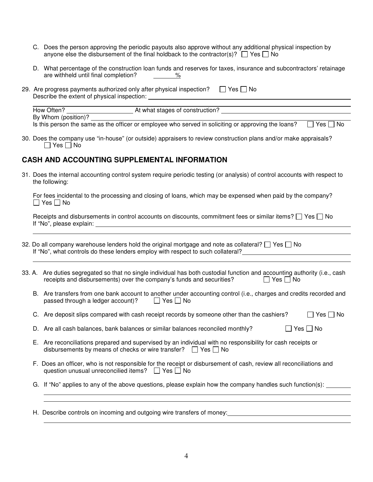- C. Does the person approving the periodic payouts also approve without any additional physical inspection by anyone else the disbursement of the final holdback to the contractor(s)?  $\Box$  Yes  $\Box$  No
- D. What percentage of the construction loan funds and reserves for taxes, insurance and subcontractors' retainage are withheld until final completion?  $\%$
- 29. Are progress payments authorized only after physical inspection?  $\Box$  Yes  $\Box$  No Describe the extent of physical inspection:

L How Often? At what stages of construction? By Whom (position)? Is this person the same as the officer or employee who served in soliciting or approving the loans?  $\Box$  Yes  $\Box$  No

30. Does the company use "in-house" (or outside) appraisers to review construction plans and/or make appraisals?  $\Box$  Yes  $\Box$  No

## **CASH AND ACCOUNTING SUPPLEMENTAL INFORMATION**

 $\overline{a}$ 

L

 $\overline{a}$ 

31. Does the internal accounting control system require periodic testing (or analysis) of control accounts with respect to the following:

 For fees incidental to the processing and closing of loans, which may be expensed when paid by the company?  $\Box$  Yes  $\Box$  No

| Receipts and disbursements in control accounts on discounts, commitment fees or similar items? $\Box$ Yes $\Box$ No |  |
|---------------------------------------------------------------------------------------------------------------------|--|
| If "No", please explain:                                                                                            |  |

- 32. Do all company warehouse lenders hold the original mortgage and note as collateral?  $\Box$  Yes  $\Box$  No If "No", what controls do these lenders employ with respect to such collateral?
- 33. A. Are duties segregated so that no single individual has both custodial function and accounting authority (i.e., cash receipts and disbursements) over the company's funds and securities?  $\Box$  Yes  $\Box$  No
	- B. Are transfers from one bank account to another under accounting control (i.e., charges and credits recorded and passed through a ledger account)?  $\Box$  Yes  $\Box$  No
	- C. Are deposit slips compared with cash receipt records by someone other than the cashiers?  $\Box$  Yes  $\Box$  No
	- D. Are all cash balances, bank balances or similar balances reconciled monthly?  $\Box$  Yes  $\Box$  No
	- E. Are reconciliations prepared and supervised by an individual with no responsibility for cash receipts or disbursements by means of checks or wire transfer?  $\Box$  Yes  $\Box$  No
	- F. Does an officer, who is not responsible for the receipt or disbursement of cash, review all reconciliations and question unusual unreconcilied items?  $\Box$  Yes  $\Box$  No
	- G. If "No" applies to any of the above questions, please explain how the company handles such function(s):

H. Describe controls on incoming and outgoing wire transfers of money: